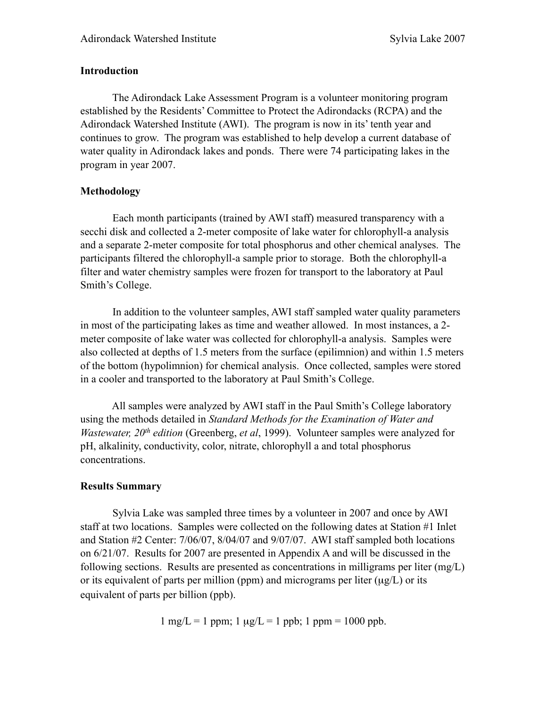# **Introduction**

 The Adirondack Lake Assessment Program is a volunteer monitoring program established by the Residents' Committee to Protect the Adirondacks (RCPA) and the Adirondack Watershed Institute (AWI). The program is now in its' tenth year and continues to grow. The program was established to help develop a current database of water quality in Adirondack lakes and ponds. There were 74 participating lakes in the program in year 2007.

# **Methodology**

 Each month participants (trained by AWI staff) measured transparency with a secchi disk and collected a 2-meter composite of lake water for chlorophyll-a analysis and a separate 2-meter composite for total phosphorus and other chemical analyses. The participants filtered the chlorophyll-a sample prior to storage. Both the chlorophyll-a filter and water chemistry samples were frozen for transport to the laboratory at Paul Smith's College.

 In addition to the volunteer samples, AWI staff sampled water quality parameters in most of the participating lakes as time and weather allowed. In most instances, a 2 meter composite of lake water was collected for chlorophyll-a analysis. Samples were also collected at depths of 1.5 meters from the surface (epilimnion) and within 1.5 meters of the bottom (hypolimnion) for chemical analysis. Once collected, samples were stored in a cooler and transported to the laboratory at Paul Smith's College.

 All samples were analyzed by AWI staff in the Paul Smith's College laboratory using the methods detailed in *Standard Methods for the Examination of Water and Wastewater, 20<sup>th</sup> edition* (Greenberg, *et al*, 1999). Volunteer samples were analyzed for pH, alkalinity, conductivity, color, nitrate, chlorophyll a and total phosphorus concentrations.

# **Results Summary**

 Sylvia Lake was sampled three times by a volunteer in 2007 and once by AWI staff at two locations. Samples were collected on the following dates at Station #1 Inlet and Station #2 Center: 7/06/07, 8/04/07 and 9/07/07. AWI staff sampled both locations on 6/21/07. Results for 2007 are presented in Appendix A and will be discussed in the following sections. Results are presented as concentrations in milligrams per liter (mg/L) or its equivalent of parts per million (ppm) and micrograms per liter  $(\mu g/L)$  or its equivalent of parts per billion (ppb).

 $1 \text{ mg/L} = 1 \text{ ppm}; 1 \text{ µg/L} = 1 \text{ ppb}; 1 \text{ ppm} = 1000 \text{ ppb}.$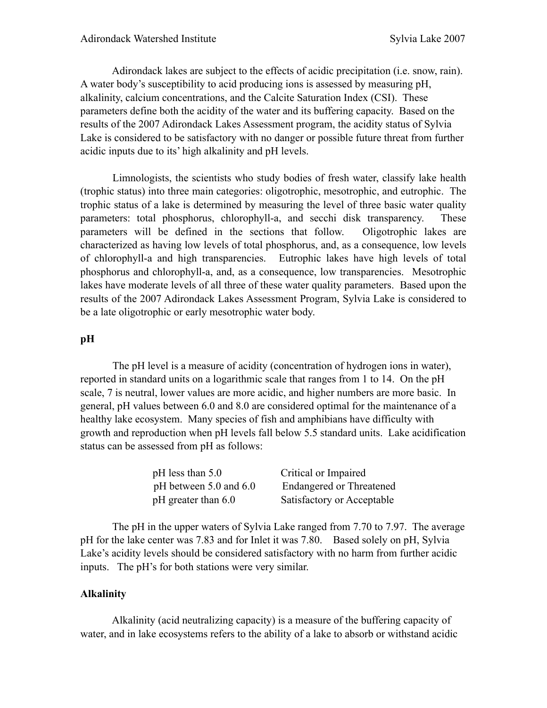Adirondack lakes are subject to the effects of acidic precipitation (i.e. snow, rain). A water body's susceptibility to acid producing ions is assessed by measuring pH, alkalinity, calcium concentrations, and the Calcite Saturation Index (CSI). These parameters define both the acidity of the water and its buffering capacity. Based on the results of the 2007 Adirondack Lakes Assessment program, the acidity status of Sylvia Lake is considered to be satisfactory with no danger or possible future threat from further acidic inputs due to its' high alkalinity and pH levels.

Limnologists, the scientists who study bodies of fresh water, classify lake health (trophic status) into three main categories: oligotrophic, mesotrophic, and eutrophic. The trophic status of a lake is determined by measuring the level of three basic water quality parameters: total phosphorus, chlorophyll-a, and secchi disk transparency. These parameters will be defined in the sections that follow. Oligotrophic lakes are characterized as having low levels of total phosphorus, and, as a consequence, low levels of chlorophyll-a and high transparencies. Eutrophic lakes have high levels of total phosphorus and chlorophyll-a, and, as a consequence, low transparencies. Mesotrophic lakes have moderate levels of all three of these water quality parameters. Based upon the results of the 2007 Adirondack Lakes Assessment Program, Sylvia Lake is considered to be a late oligotrophic or early mesotrophic water body.

# **pH**

The pH level is a measure of acidity (concentration of hydrogen ions in water), reported in standard units on a logarithmic scale that ranges from 1 to 14. On the pH scale, 7 is neutral, lower values are more acidic, and higher numbers are more basic. In general, pH values between 6.0 and 8.0 are considered optimal for the maintenance of a healthy lake ecosystem. Many species of fish and amphibians have difficulty with growth and reproduction when pH levels fall below 5.5 standard units. Lake acidification status can be assessed from pH as follows:

| $pH$ less than 5.0         | Critical or Impaired            |
|----------------------------|---------------------------------|
| pH between $5.0$ and $6.0$ | <b>Endangered or Threatened</b> |
| pH greater than 6.0        | Satisfactory or Acceptable      |

 The pH in the upper waters of Sylvia Lake ranged from 7.70 to 7.97. The average pH for the lake center was 7.83 and for Inlet it was 7.80. Based solely on pH, Sylvia Lake's acidity levels should be considered satisfactory with no harm from further acidic inputs. The pH's for both stations were very similar.

# **Alkalinity**

 Alkalinity (acid neutralizing capacity) is a measure of the buffering capacity of water, and in lake ecosystems refers to the ability of a lake to absorb or withstand acidic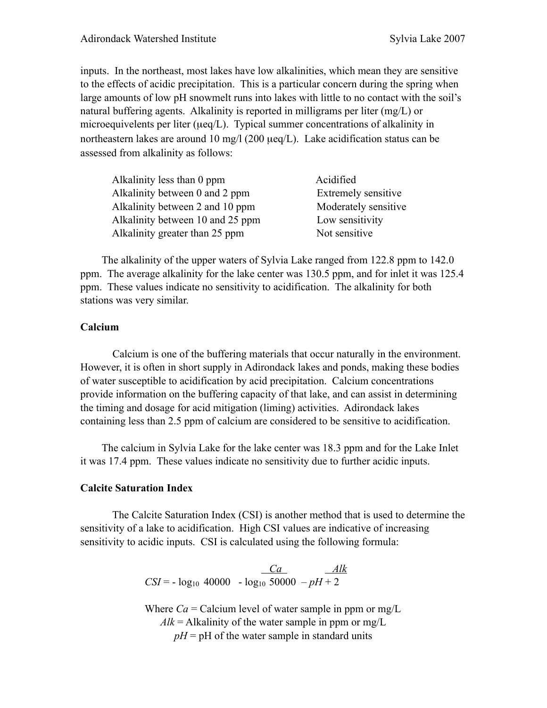inputs. In the northeast, most lakes have low alkalinities, which mean they are sensitive to the effects of acidic precipitation. This is a particular concern during the spring when large amounts of low pH snowmelt runs into lakes with little to no contact with the soil's natural buffering agents. Alkalinity is reported in milligrams per liter (mg/L) or microequivelents per liter ( $\mu$ eq/L). Typical summer concentrations of alkalinity in northeastern lakes are around 10 mg/l (200 µeq/L). Lake acidification status can be assessed from alkalinity as follows:

| Alkalinity less than 0 ppm       | Acidified            |
|----------------------------------|----------------------|
| Alkalinity between 0 and 2 ppm   | Extremely sensitive  |
| Alkalinity between 2 and 10 ppm  | Moderately sensitive |
| Alkalinity between 10 and 25 ppm | Low sensitivity      |
| Alkalinity greater than 25 ppm   | Not sensitive        |

 The alkalinity of the upper waters of Sylvia Lake ranged from 122.8 ppm to 142.0 ppm. The average alkalinity for the lake center was 130.5 ppm, and for inlet it was 125.4 ppm. These values indicate no sensitivity to acidification. The alkalinity for both stations was very similar.

# **Calcium**

 Calcium is one of the buffering materials that occur naturally in the environment. However, it is often in short supply in Adirondack lakes and ponds, making these bodies of water susceptible to acidification by acid precipitation. Calcium concentrations provide information on the buffering capacity of that lake, and can assist in determining the timing and dosage for acid mitigation (liming) activities. Adirondack lakes containing less than 2.5 ppm of calcium are considered to be sensitive to acidification.

 The calcium in Sylvia Lake for the lake center was 18.3 ppm and for the Lake Inlet it was 17.4 ppm. These values indicate no sensitivity due to further acidic inputs.

# **Calcite Saturation Index**

 The Calcite Saturation Index (CSI) is another method that is used to determine the sensitivity of a lake to acidification. High CSI values are indicative of increasing sensitivity to acidic inputs. CSI is calculated using the following formula:

$$
CSI = -\log_{10} 40000 - \log_{10} 50000 - pH + 2
$$

Where  $Ca =$  Calcium level of water sample in ppm or mg/L  $Alk =$  Alkalinity of the water sample in ppm or mg/L  $pH = pH$  of the water sample in standard units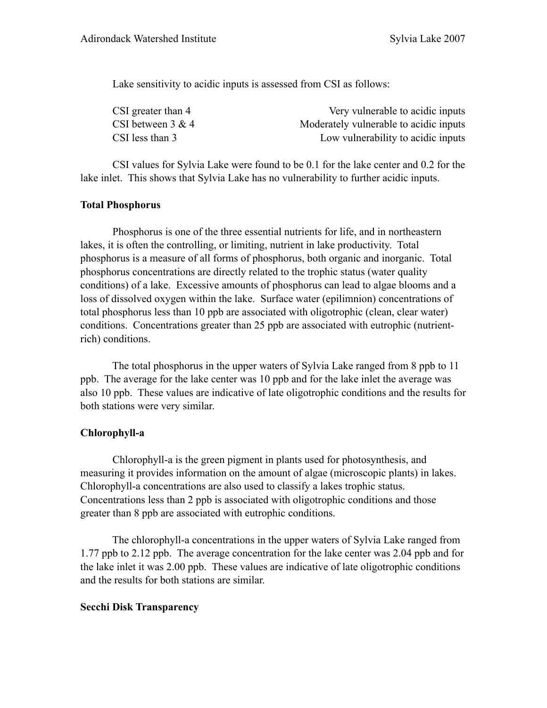Lake sensitivity to acidic inputs is assessed from CSI as follows:

| CSI greater than 4   | Very vulnerable to acidic inputs       |
|----------------------|----------------------------------------|
| CSI between $3 \& 4$ | Moderately vulnerable to acidic inputs |
| CSI less than 3      | Low vulnerability to acidic inputs     |

 CSI values for Sylvia Lake were found to be 0.1 for the lake center and 0.2 for the lake inlet. This shows that Sylvia Lake has no vulnerability to further acidic inputs.

# **Total Phosphorus**

 Phosphorus is one of the three essential nutrients for life, and in northeastern lakes, it is often the controlling, or limiting, nutrient in lake productivity. Total phosphorus is a measure of all forms of phosphorus, both organic and inorganic. Total phosphorus concentrations are directly related to the trophic status (water quality conditions) of a lake. Excessive amounts of phosphorus can lead to algae blooms and a loss of dissolved oxygen within the lake. Surface water (epilimnion) concentrations of total phosphorus less than 10 ppb are associated with oligotrophic (clean, clear water) conditions. Concentrations greater than 25 ppb are associated with eutrophic (nutrientrich) conditions.

 The total phosphorus in the upper waters of Sylvia Lake ranged from 8 ppb to 11 ppb. The average for the lake center was 10 ppb and for the lake inlet the average was also 10 ppb. These values are indicative of late oligotrophic conditions and the results for both stations were very similar.

# **Chlorophyll-a**

 Chlorophyll-a is the green pigment in plants used for photosynthesis, and measuring it provides information on the amount of algae (microscopic plants) in lakes. Chlorophyll-a concentrations are also used to classify a lakes trophic status. Concentrations less than 2 ppb is associated with oligotrophic conditions and those greater than 8 ppb are associated with eutrophic conditions.

 The chlorophyll-a concentrations in the upper waters of Sylvia Lake ranged from 1.77 ppb to 2.12 ppb. The average concentration for the lake center was 2.04 ppb and for the lake inlet it was 2.00 ppb. These values are indicative of late oligotrophic conditions and the results for both stations are similar.

# **Secchi Disk Transparency**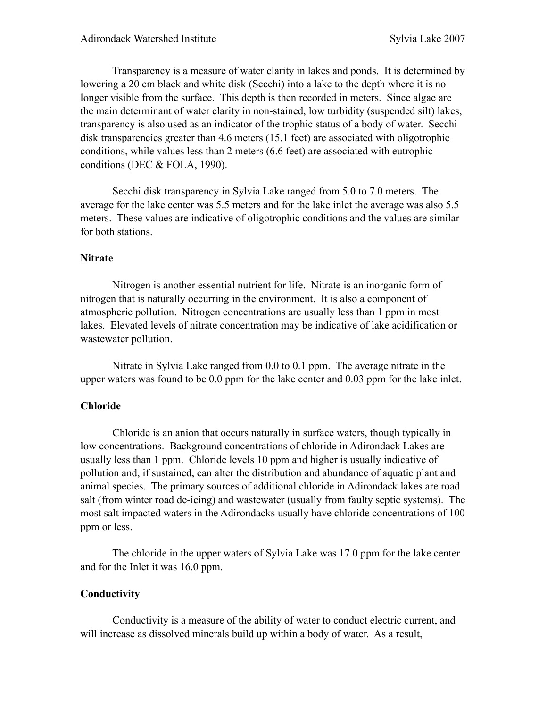Transparency is a measure of water clarity in lakes and ponds. It is determined by lowering a 20 cm black and white disk (Secchi) into a lake to the depth where it is no longer visible from the surface. This depth is then recorded in meters. Since algae are the main determinant of water clarity in non-stained, low turbidity (suspended silt) lakes, transparency is also used as an indicator of the trophic status of a body of water. Secchi disk transparencies greater than 4.6 meters (15.1 feet) are associated with oligotrophic conditions, while values less than 2 meters (6.6 feet) are associated with eutrophic conditions (DEC & FOLA, 1990).

 Secchi disk transparency in Sylvia Lake ranged from 5.0 to 7.0 meters. The average for the lake center was 5.5 meters and for the lake inlet the average was also 5.5 meters. These values are indicative of oligotrophic conditions and the values are similar for both stations.

#### **Nitrate**

 Nitrogen is another essential nutrient for life. Nitrate is an inorganic form of nitrogen that is naturally occurring in the environment. It is also a component of atmospheric pollution. Nitrogen concentrations are usually less than 1 ppm in most lakes. Elevated levels of nitrate concentration may be indicative of lake acidification or wastewater pollution.

 Nitrate in Sylvia Lake ranged from 0.0 to 0.1 ppm. The average nitrate in the upper waters was found to be 0.0 ppm for the lake center and 0.03 ppm for the lake inlet.

# **Chloride**

 Chloride is an anion that occurs naturally in surface waters, though typically in low concentrations. Background concentrations of chloride in Adirondack Lakes are usually less than 1 ppm. Chloride levels 10 ppm and higher is usually indicative of pollution and, if sustained, can alter the distribution and abundance of aquatic plant and animal species. The primary sources of additional chloride in Adirondack lakes are road salt (from winter road de-icing) and wastewater (usually from faulty septic systems). The most salt impacted waters in the Adirondacks usually have chloride concentrations of 100 ppm or less.

 The chloride in the upper waters of Sylvia Lake was 17.0 ppm for the lake center and for the Inlet it was 16.0 ppm.

# **Conductivity**

 Conductivity is a measure of the ability of water to conduct electric current, and will increase as dissolved minerals build up within a body of water. As a result,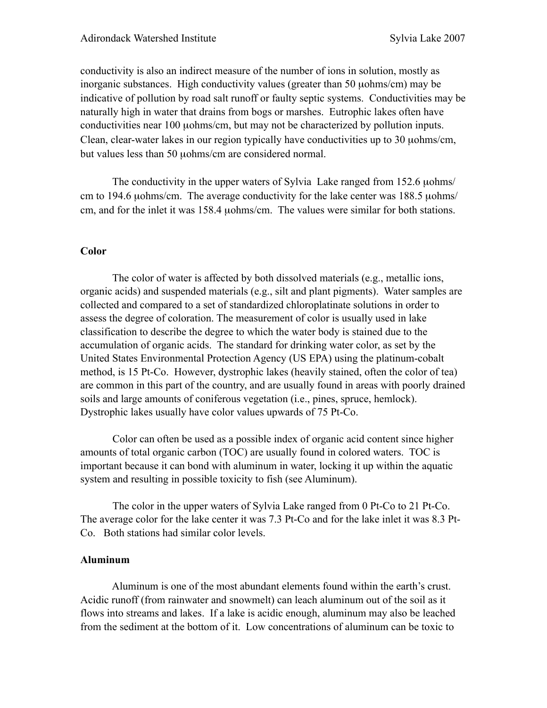conductivity is also an indirect measure of the number of ions in solution, mostly as inorganic substances. High conductivity values (greater than 50 µohms/cm) may be indicative of pollution by road salt runoff or faulty septic systems. Conductivities may be naturally high in water that drains from bogs or marshes. Eutrophic lakes often have conductivities near 100 µohms/cm, but may not be characterized by pollution inputs. Clean, clear-water lakes in our region typically have conductivities up to 30 uohms/cm, but values less than 50 uohms/cm are considered normal.

The conductivity in the upper waters of Sylvia Lake ranged from 152.6  $\mu$ ohms/ cm to 194.6 uohms/cm. The average conductivity for the lake center was 188.5 uohms/ cm, and for the inlet it was 158.4 µohms/cm. The values were similar for both stations.

# **Color**

 The color of water is affected by both dissolved materials (e.g., metallic ions, organic acids) and suspended materials (e.g., silt and plant pigments). Water samples are collected and compared to a set of standardized chloroplatinate solutions in order to assess the degree of coloration. The measurement of color is usually used in lake classification to describe the degree to which the water body is stained due to the accumulation of organic acids. The standard for drinking water color, as set by the United States Environmental Protection Agency (US EPA) using the platinum-cobalt method, is 15 Pt-Co. However, dystrophic lakes (heavily stained, often the color of tea) are common in this part of the country, and are usually found in areas with poorly drained soils and large amounts of coniferous vegetation (i.e., pines, spruce, hemlock). Dystrophic lakes usually have color values upwards of 75 Pt-Co.

Color can often be used as a possible index of organic acid content since higher amounts of total organic carbon (TOC) are usually found in colored waters. TOC is important because it can bond with aluminum in water, locking it up within the aquatic system and resulting in possible toxicity to fish (see Aluminum).

The color in the upper waters of Sylvia Lake ranged from 0 Pt-Co to 21 Pt-Co. The average color for the lake center it was 7.3 Pt-Co and for the lake inlet it was 8.3 Pt-Co. Both stations had similar color levels.

#### **Aluminum**

 Aluminum is one of the most abundant elements found within the earth's crust. Acidic runoff (from rainwater and snowmelt) can leach aluminum out of the soil as it flows into streams and lakes. If a lake is acidic enough, aluminum may also be leached from the sediment at the bottom of it. Low concentrations of aluminum can be toxic to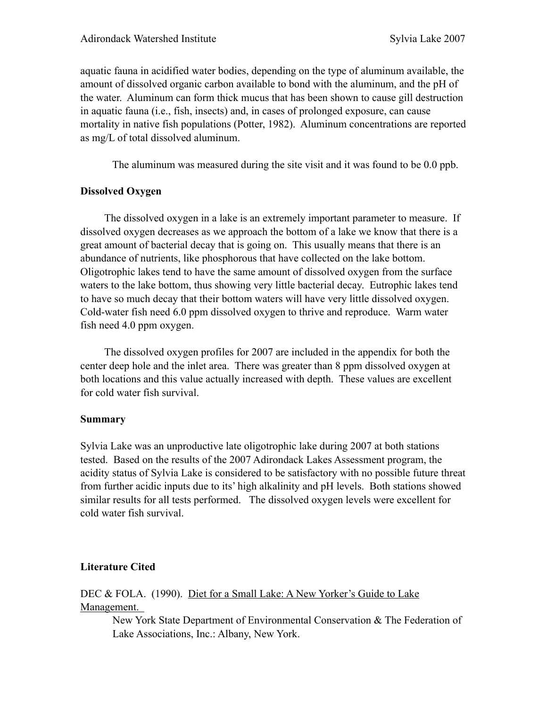aquatic fauna in acidified water bodies, depending on the type of aluminum available, the amount of dissolved organic carbon available to bond with the aluminum, and the pH of the water. Aluminum can form thick mucus that has been shown to cause gill destruction in aquatic fauna (i.e., fish, insects) and, in cases of prolonged exposure, can cause mortality in native fish populations (Potter, 1982). Aluminum concentrations are reported as mg/L of total dissolved aluminum.

The aluminum was measured during the site visit and it was found to be 0.0 ppb.

# **Dissolved Oxygen**

 The dissolved oxygen in a lake is an extremely important parameter to measure. If dissolved oxygen decreases as we approach the bottom of a lake we know that there is a great amount of bacterial decay that is going on. This usually means that there is an abundance of nutrients, like phosphorous that have collected on the lake bottom. Oligotrophic lakes tend to have the same amount of dissolved oxygen from the surface waters to the lake bottom, thus showing very little bacterial decay. Eutrophic lakes tend to have so much decay that their bottom waters will have very little dissolved oxygen. Cold-water fish need 6.0 ppm dissolved oxygen to thrive and reproduce. Warm water fish need 4.0 ppm oxygen.

 The dissolved oxygen profiles for 2007 are included in the appendix for both the center deep hole and the inlet area. There was greater than 8 ppm dissolved oxygen at both locations and this value actually increased with depth. These values are excellent for cold water fish survival.

# **Summary**

Sylvia Lake was an unproductive late oligotrophic lake during 2007 at both stations tested. Based on the results of the 2007 Adirondack Lakes Assessment program, the acidity status of Sylvia Lake is considered to be satisfactory with no possible future threat from further acidic inputs due to its' high alkalinity and pH levels. Both stations showed similar results for all tests performed. The dissolved oxygen levels were excellent for cold water fish survival.

# **Literature Cited**

DEC & FOLA. (1990). Diet for a Small Lake: A New Yorker's Guide to Lake Management.

New York State Department of Environmental Conservation & The Federation of Lake Associations, Inc.: Albany, New York.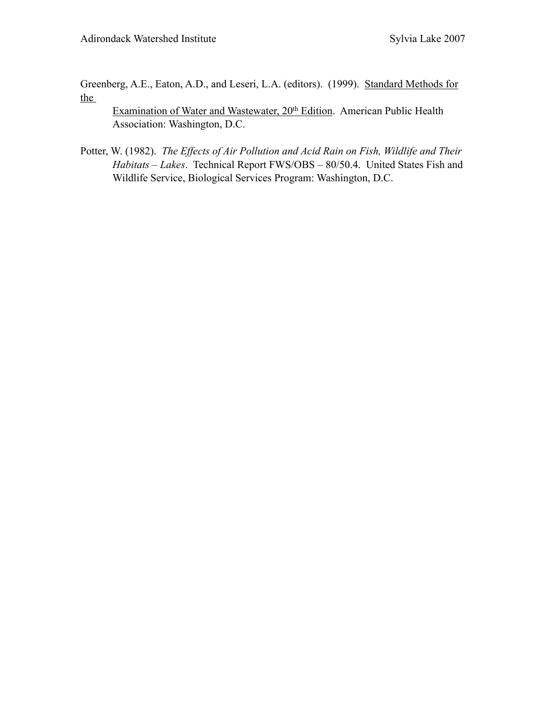Greenberg, A.E., Eaton, A.D., and Leseri, L.A. (editors). (1999). Standard Methods for the

Examination of Water and Wastewater, 20<sup>th</sup> Edition. American Public Health Association: Washington, D.C.

Potter, W. (1982). *The Effects of Air Pollution and Acid Rain on Fish, Wildlife and Their Habitats – Lakes*. Technical Report FWS/OBS – 80/50.4. United States Fish and Wildlife Service, Biological Services Program: Washington, D.C.